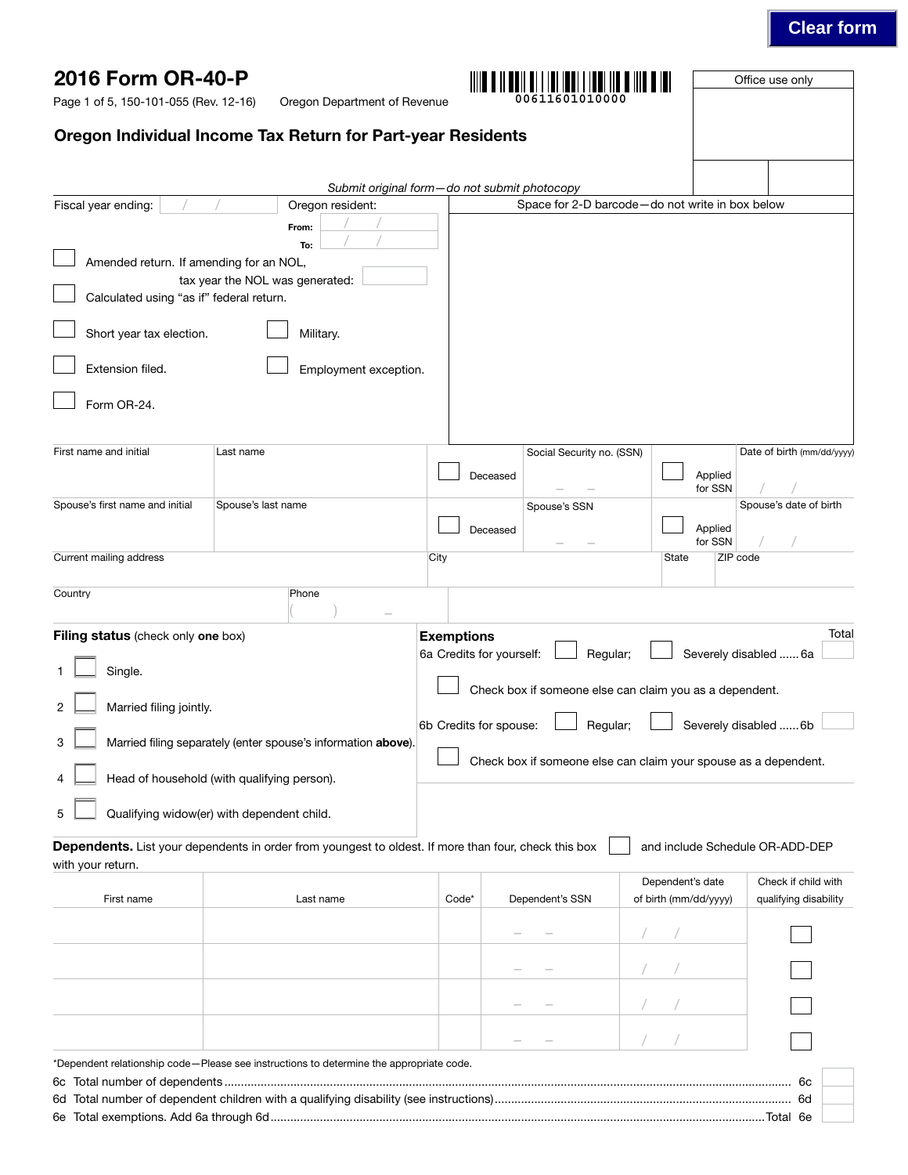# **Clear form**

| 2016 Form OR-40-P<br>Page 1 of 5, 150-101-055 (Rev. 12-16)                          | Oregon Department of Revenue                                                                                 |                   | 00611601010000                                                                                                                        |                                                 | Office use only                                        |
|-------------------------------------------------------------------------------------|--------------------------------------------------------------------------------------------------------------|-------------------|---------------------------------------------------------------------------------------------------------------------------------------|-------------------------------------------------|--------------------------------------------------------|
|                                                                                     | Oregon Individual Income Tax Return for Part-year Residents                                                  |                   |                                                                                                                                       |                                                 |                                                        |
|                                                                                     |                                                                                                              |                   | Submit original form-do not submit photocopy                                                                                          |                                                 |                                                        |
| Fiscal year ending:                                                                 | Oregon resident:<br>From:                                                                                    |                   |                                                                                                                                       | Space for 2-D barcode-do not write in box below |                                                        |
| Amended return. If amending for an NOL,<br>Calculated using "as if" federal return. | To:<br>tax year the NOL was generated:                                                                       |                   |                                                                                                                                       |                                                 |                                                        |
| Short year tax election.                                                            | Military.                                                                                                    |                   |                                                                                                                                       |                                                 |                                                        |
| Extension filed.                                                                    | Employment exception.                                                                                        |                   |                                                                                                                                       |                                                 |                                                        |
| Form OR-24.                                                                         |                                                                                                              |                   |                                                                                                                                       |                                                 |                                                        |
| First name and initial                                                              | Last name                                                                                                    |                   | Social Security no. (SSN)<br>Deceased                                                                                                 | Applied<br>for SSN                              | Date of birth (mm/dd/yyyy)                             |
| Spouse's first name and initial                                                     | Spouse's last name                                                                                           |                   | Spouse's SSN<br>Deceased                                                                                                              | Applied<br>for SSN                              | Spouse's date of birth                                 |
| Current mailing address                                                             |                                                                                                              | City              |                                                                                                                                       | State                                           | ZIP code                                               |
| Country                                                                             | Phone                                                                                                        |                   |                                                                                                                                       |                                                 |                                                        |
| Filing status (check only one box)<br>Single.<br>Married filing jointly.            |                                                                                                              | <b>Exemptions</b> | 6a Credits for yourself:<br>Regular;<br>Check box if someone else can claim you as a dependent.<br>6b Credits for spouse:<br>Regular; |                                                 | Total<br>Severely disabled  6a<br>Severely disabled 6b |
| 3                                                                                   | Married filing separately (enter spouse's information above).<br>Head of household (with qualifying person). |                   | Check box if someone else can claim your spouse as a dependent.                                                                       |                                                 |                                                        |
|                                                                                     | Qualifying widow(er) with dependent child.                                                                   |                   |                                                                                                                                       |                                                 |                                                        |
| with your return.                                                                   | Dependents. List your dependents in order from youngest to oldest. If more than four, check this box         |                   |                                                                                                                                       |                                                 | and include Schedule OR-ADD-DEP                        |
| First name                                                                          | Last name                                                                                                    | Code*             | Dependent's SSN                                                                                                                       | Dependent's date<br>of birth (mm/dd/yyyy)       | Check if child with<br>qualifying disability           |
|                                                                                     |                                                                                                              |                   |                                                                                                                                       |                                                 |                                                        |
|                                                                                     |                                                                                                              |                   |                                                                                                                                       |                                                 |                                                        |
|                                                                                     |                                                                                                              |                   |                                                                                                                                       |                                                 |                                                        |
|                                                                                     | *Dependent relationship code-Please see instructions to determine the appropriate code.                      |                   |                                                                                                                                       |                                                 |                                                        |
|                                                                                     |                                                                                                              |                   |                                                                                                                                       |                                                 |                                                        |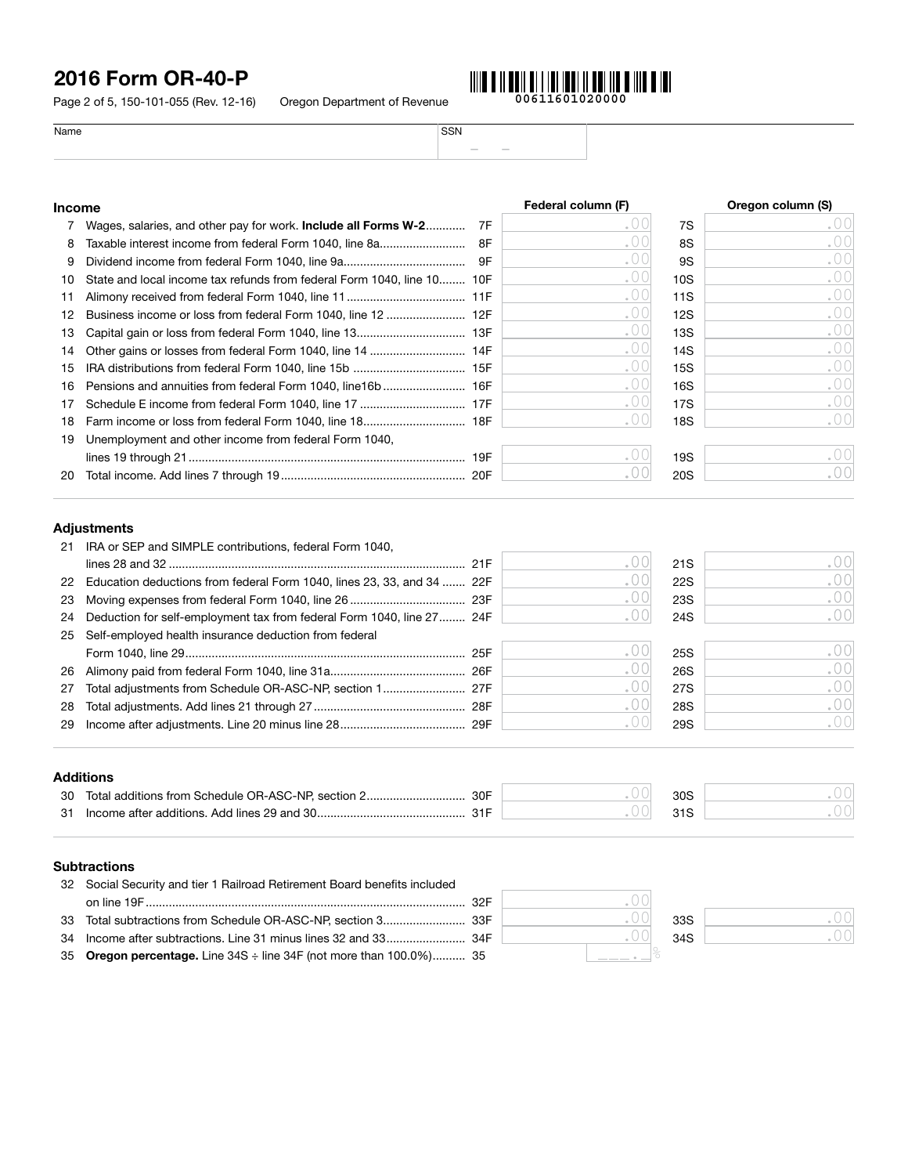Page 2 of 5, 150-101-055 (Rev. 12-16) Oregon Department of Revenue



| Name          | SSN                            |                   |
|---------------|--------------------------------|-------------------|
|               | $\frac{1}{2}$<br>$\frac{1}{2}$ |                   |
|               |                                |                   |
|               |                                |                   |
| <b>Income</b> | Federal column (F)             | Oregon column (S) |

|     | Wages, salaries, and other pay for work. Include all Forms W-2         | 7F |     | 7S              | .00 |
|-----|------------------------------------------------------------------------|----|-----|-----------------|-----|
| 8   | Taxable interest income from federal Form 1040, line 8a                | 8F | .00 | 8S              | .00 |
| 9   |                                                                        | 9F | .00 | 9S              | .00 |
| 10  | State and local income tax refunds from federal Form 1040, line 10 10F |    | .00 | 10S             | .00 |
| 11  |                                                                        |    | .00 | 11S             | .00 |
| 12  |                                                                        |    | .00 | 12S             | .00 |
| 13  |                                                                        |    | .00 | 13S             | .00 |
| 14  |                                                                        |    | .00 | 14S             | .00 |
| 15  |                                                                        |    | .00 | 15S             | .00 |
| 16. |                                                                        |    | .00 | 16S             | .00 |
| 17  |                                                                        |    | .00 | 17S             | .00 |
| 18  |                                                                        |    |     | 18S             | .00 |
| 19  | Unemployment and other income from federal Form 1040,                  |    |     |                 |     |
|     |                                                                        |    |     | 19 <sub>S</sub> | .00 |
| 20  |                                                                        |    |     | <b>20S</b>      | .00 |

## Adjustments

| 21 | IRA or SEP and SIMPLE contributions, federal Form 1040,                |       |     |               |
|----|------------------------------------------------------------------------|-------|-----|---------------|
|    |                                                                        |       | 21S | .00           |
| 22 | Education deductions from federal Form 1040, lines 23, 33, and 34  22F |       | 22S | .00           |
| 23 |                                                                        | .UU   | 23S | .001          |
| 24 | Deduction for self-employment tax from federal Form 1040, line 27 24F  |       | 24S | .001          |
| 25 | Self-employed health insurance deduction from federal                  |       |     |               |
|    |                                                                        |       | 25S | .00           |
| 26 |                                                                        | . U ( | 26S | .001          |
| 27 |                                                                        | .UU   | 27S | .001          |
| 28 |                                                                        |       | 28S | $.00^{\circ}$ |
| 29 |                                                                        |       | 29S | ,001          |
|    |                                                                        |       |     |               |

## Additions

| -30 | Total additions from Schedule OR-ASC-NP, section 2<br>30F | 209 |  |
|-----|-----------------------------------------------------------|-----|--|
| -31 | Income after additions. Add lines 29 and 30.              |     |  |

## **Subtractions**

| 32 Social Security and tier 1 Railroad Retirement Board benefits included |  |                 |
|---------------------------------------------------------------------------|--|-----------------|
|                                                                           |  |                 |
|                                                                           |  | 33S             |
|                                                                           |  | 34 <sub>S</sub> |
| 35 Oregon percentage. Line 34S : line 34F (not more than 100.0%) 35       |  |                 |

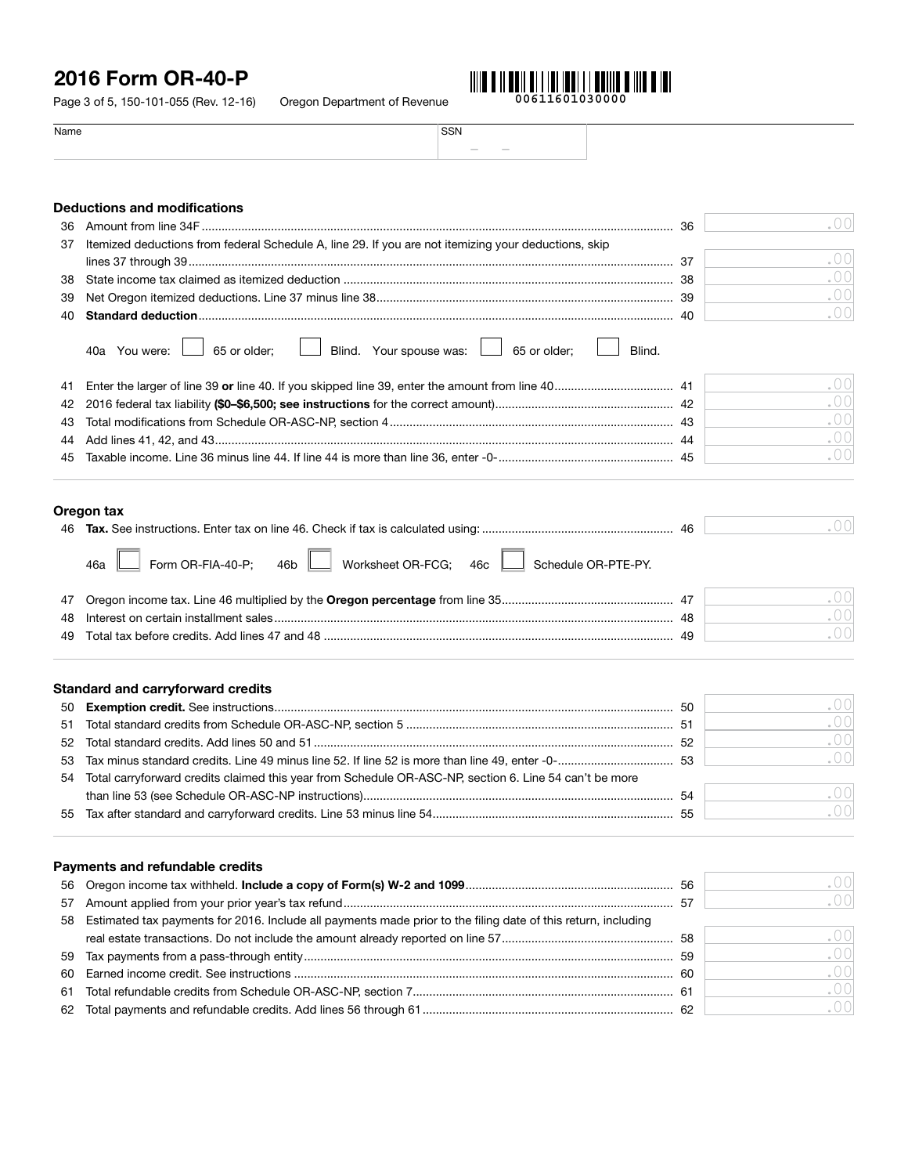Page 3 of 5, 150-101-055 (Rev. 12-16) Oregon Department of Revenue

**00611601030000**

| Name | SSN              |
|------|------------------|
|      | $\sim$<br>$\sim$ |
|      |                  |

| <b>Deductions and modifications</b> |                                                                                                        |    |               |  |  |  |  |
|-------------------------------------|--------------------------------------------------------------------------------------------------------|----|---------------|--|--|--|--|
| 36                                  |                                                                                                        | 36 | .00           |  |  |  |  |
| 37                                  | Itemized deductions from federal Schedule A, line 29. If you are not itemizing your deductions, skip   |    |               |  |  |  |  |
|                                     |                                                                                                        |    | . $00$        |  |  |  |  |
| 38                                  |                                                                                                        |    | . $00$        |  |  |  |  |
| 39                                  |                                                                                                        |    | .00           |  |  |  |  |
| 40                                  |                                                                                                        |    | .00           |  |  |  |  |
|                                     | Blind. Your spouse was: 4 65 or older;<br>65 or older;<br>Blind.<br>40a You were:                      |    |               |  |  |  |  |
| 41                                  |                                                                                                        |    | .00           |  |  |  |  |
| 42                                  |                                                                                                        |    | . $00$        |  |  |  |  |
| 43                                  |                                                                                                        |    | . $00$        |  |  |  |  |
| 44                                  |                                                                                                        |    | .00           |  |  |  |  |
| 45                                  |                                                                                                        |    | . $00$        |  |  |  |  |
| 47<br>48                            | Form OR-FIA-40-P;<br>Worksheet OR-FCG; 46c   Schedule OR-PTE-PY.<br>46b<br>46a                         |    | .00<br>. $00$ |  |  |  |  |
| 49                                  |                                                                                                        |    | .00           |  |  |  |  |
|                                     | <b>Standard and carryforward credits</b>                                                               |    |               |  |  |  |  |
| 50                                  |                                                                                                        |    | .00           |  |  |  |  |
| 51                                  |                                                                                                        |    | .00           |  |  |  |  |
| 52                                  |                                                                                                        |    | . $00$        |  |  |  |  |
| 53                                  |                                                                                                        |    | .00           |  |  |  |  |
| 54                                  | Total carryforward credits claimed this year from Schedule OR-ASC-NP, section 6. Line 54 can't be more |    |               |  |  |  |  |
|                                     |                                                                                                        |    | . $00$        |  |  |  |  |
| 55                                  |                                                                                                        |    | . $00$        |  |  |  |  |
|                                     |                                                                                                        |    |               |  |  |  |  |

## Payments and refundable credits

|                                                                                                                  | .001 |
|------------------------------------------------------------------------------------------------------------------|------|
|                                                                                                                  | .001 |
| 58 Estimated tax payments for 2016. Include all payments made prior to the filing date of this return, including |      |
|                                                                                                                  | .001 |
|                                                                                                                  | .00  |
|                                                                                                                  | .001 |
|                                                                                                                  | .001 |
|                                                                                                                  | .001 |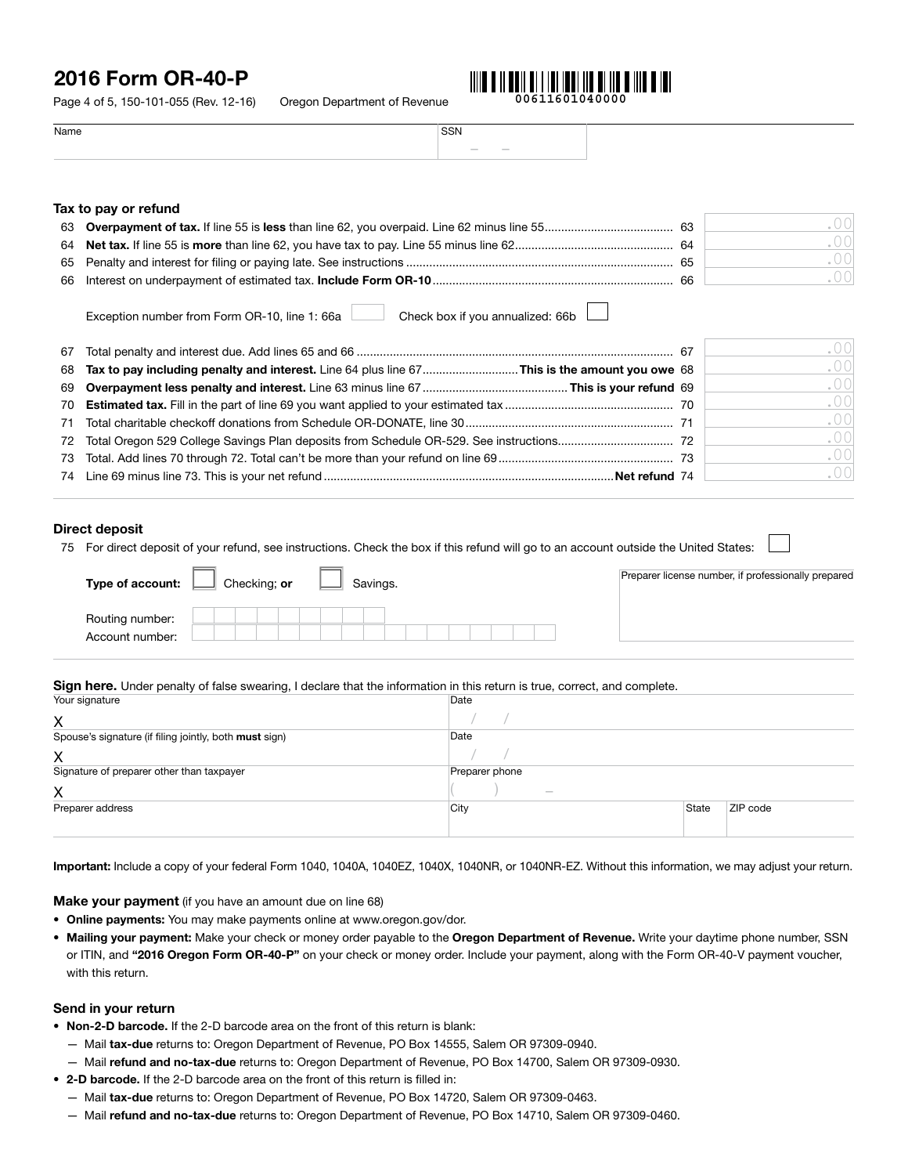Page 4 of 5, 150-101-055 (Rev. 12-16) Oregon Department of Revenue



Name SSN – –

| Tax to pay or refund |  |  |  |  |  |  |
|----------------------|--|--|--|--|--|--|
|----------------------|--|--|--|--|--|--|

|  | -63 |      |
|--|-----|------|
|  |     |      |
|  | 65  |      |
|  | 66  | .001 |

Exception number from Form OR-10, line 1: 66a Check box if you annualized: 66b

|  | .001 |
|--|------|
|  | .001 |
|  | .001 |
|  | .001 |
|  | .00  |
|  | .00  |
|  | .00  |
|  | .001 |

### Direct deposit

75 For direct deposit of your refund, see instructions. Check the box if this refund will go to an account outside the United States:

| Type of account:                   | Checking; or<br>Savings. | Preparer license number, if professionally prepared |
|------------------------------------|--------------------------|-----------------------------------------------------|
| Routing number:<br>Account number: |                          |                                                     |

#### Sign here. Under penalty of false swearing, I declare that the information in this return is true, correct, and complete.

| Your signature                                         | Date             |       |          |  |
|--------------------------------------------------------|------------------|-------|----------|--|
| X                                                      |                  |       |          |  |
| Spouse's signature (if filing jointly, both must sign) | Date             |       |          |  |
| X                                                      |                  |       |          |  |
| Signature of preparer other than taxpayer              | Preparer phone   |       |          |  |
| X                                                      | $\hspace{0.5cm}$ |       |          |  |
| Preparer address                                       | City             | State | ZIP code |  |
|                                                        |                  |       |          |  |

Important: Include a copy of your federal Form 1040, 1040A, 1040EZ, 1040X, 1040NR, or 1040NR-EZ. Without this information, we may adjust your return.

Make your payment (if you have an amount due on line 68)

- Online payments: You may make payments online at www.oregon.gov/dor.
- Mailing your payment: Make your check or money order payable to the Oregon Department of Revenue. Write your daytime phone number, SSN or ITIN, and "2016 Oregon Form OR-40-P" on your check or money order. Include your payment, along with the Form OR-40-V payment voucher, with this return.

#### Send in your return

- Non-2-D barcode. If the 2-D barcode area on the front of this return is blank:
	- Mail tax-due returns to: Oregon Department of Revenue, PO Box 14555, Salem OR 97309-0940.
	- Mail refund and no-tax-due returns to: Oregon Department of Revenue, PO Box 14700, Salem OR 97309-0930.
- 2-D barcode. If the 2-D barcode area on the front of this return is filled in:
	- Mail tax-due returns to: Oregon Department of Revenue, PO Box 14720, Salem OR 97309-0463.
	- Mail refund and no-tax-due returns to: Oregon Department of Revenue, PO Box 14710, Salem OR 97309-0460.